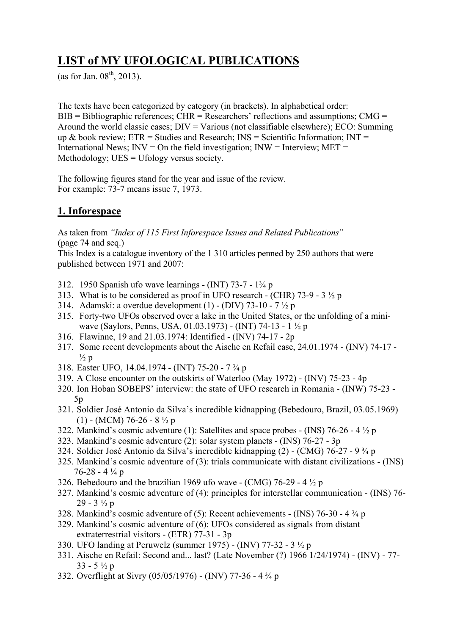# **LIST of MY UFOLOGICAL PUBLICATIONS**

(as for Jan.  $08^{th}$ , 2013).

The texts have been categorized by category (in brackets). In alphabetical order:  $BIB = Bibliographic references$ ;  $CHR = Researchers' reflections and assumptions$ ;  $CMG =$ Around the world classic cases;  $DIV = Various$  (not classifiable elsewhere);  $ECO$ : Summing up & book review;  $ETR =$  Studies and Research;  $INS =$  Scientific Information;  $INT =$ International News;  $INV = On$  the field investigation;  $INV = Interview$ ;  $MET =$ Methodology; UES = Ufology versus society.

The following figures stand for the year and issue of the review. For example: 73-7 means issue 7, 1973.

# **1. Inforespace**

As taken from *"Index of 115 First Inforespace Issues and Related Publications"* (page 74 and seq.)

This Index is a catalogue inventory of the 1 310 articles penned by 250 authors that were published between 1971 and 2007:

- 312. 1950 Spanish ufo wave learnings (INT) 73-7 1¾ p
- 313. What is to be considered as proof in UFO research (CHR)  $73-9 3\frac{1}{2}$  p
- 314. Adamski: a overdue development (1) (DIV) 73-10 7  $\frac{1}{2}$  p
- 315. Forty-two UFOs observed over a lake in the United States, or the unfolding of a miniwave (Saylors, Penns, USA, 01.03.1973) - (INT) 74-13 - 1 ½ p
- 316. Flawinne, 19 and 21.03.1974: Identified (INV) 74-17 2p
- 317. Some recent developments about the Aische en Refail case, 24.01.1974 (INV) 74-17  $\frac{1}{2}$  p
- 318. Easter UFO, 14.04.1974 (INT) 75-20 7 ¾ p
- 319. A Close encounter on the outskirts of Waterloo (May 1972) (INV) 75-23 4p
- 320. Ion Hoban SOBEPS' interview: the state of UFO research in Romania (INW) 75-23 5p
- 321. Soldier José Antonio da Silva's incredible kidnapping (Bebedouro, Brazil, 03.05.1969)  $(1)$  - (MCM) 76-26 - 8  $\frac{1}{2}$  p
- 322. Mankind's cosmic adventure (1): Satellites and space probes (INS) 76-26 4  $\frac{1}{2}$  p
- 323. Mankind's cosmic adventure (2): solar system planets (INS) 76-27 3p
- 324. Soldier José Antonio da Silva's incredible kidnapping (2) (CMG) 76-27 9 ¾ p
- 325. Mankind's cosmic adventure of (3): trials communicate with distant civilizations (INS) 76-28 - 4 ¼ p
- 326. Bebedouro and the brazilian 1969 ufo wave  $\sim$  (CMG) 76-29 4  $\frac{1}{2}$  p
- 327. Mankind's cosmic adventure of (4): principles for interstellar communication (INS) 76-  $29 - 3 \frac{1}{2} p$
- 328. Mankind's cosmic adventure of (5): Recent achievements (INS) 76-30 4 ¾ p
- 329. Mankind's cosmic adventure of (6): UFOs considered as signals from distant extraterrestrial visitors - (ETR) 77-31 - 3p
- 330. UFO landing at Peruwelz (summer 1975) (INV) 77-32 3 ½ p
- 331. Aische en Refail: Second and... last? (Late November (?) 1966 1/24/1974) (INV) 77-  $33 - 5\frac{1}{2}p$
- 332. Overflight at Sivry (05/05/1976) (INV) 77-36 4 ¾ p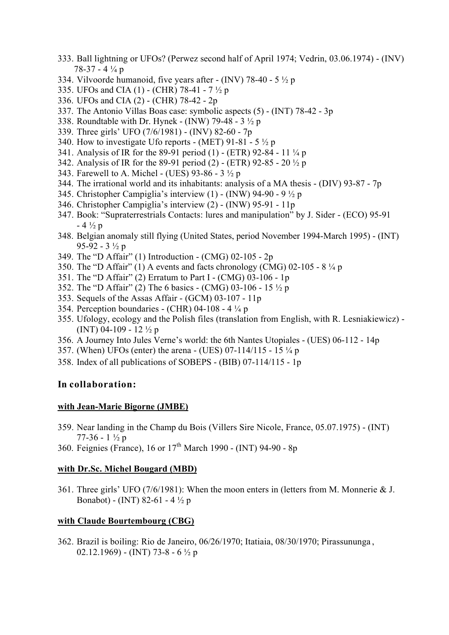- 333. Ball lightning or UFOs? (Perwez second half of April 1974; Vedrin, 03.06.1974) (INV) 78-37 - 4 ¼ p
- 334. Vilvoorde humanoid, five years after  $\sim$  (INV) 78-40 5  $\frac{1}{2}$  p
- 335. UFOs and CIA (1) (CHR) 78-41 7 ½ p
- 336. UFOs and CIA (2) (CHR) 78-42 2p
- 337. The Antonio Villas Boas case: symbolic aspects (5) (INT) 78-42 3p
- 338. Roundtable with Dr. Hynek (INW) 79-48 3 ½ p
- 339. Three girls' UFO (7/6/1981) (INV) 82-60 7p
- 340. How to investigate Ufo reports (MET) 91-81 5  $\frac{1}{2}$  p
- 341. Analysis of IR for the 89-91 period (1) (ETR) 92-84 11 ¼ p
- 342. Analysis of IR for the 89-91 period (2) (ETR) 92-85 20 ½ p
- 343. Farewell to A. Michel (UES) 93-86 3 ½ p
- 344. The irrational world and its inhabitants: analysis of a MA thesis (DIV) 93-87 7p
- 345. Christopher Campiglia's interview (1) (INW) 94-90 9 ½ p
- 346. Christopher Campiglia's interview (2) (INW) 95-91 11p
- 347. Book: "Supraterrestrials Contacts: lures and manipulation" by J. Sider (ECO) 95-91  $-4\frac{1}{2}p$
- 348. Belgian anomaly still flying (United States, period November 1994-March 1995) (INT) 95-92 - 3 ½ p
- 349. The "D Affair" (1) Introduction (CMG) 02-105 2p
- 350. The "D Affair" (1) A events and facts chronology (CMG)  $02-105 8\frac{1}{4}p$
- 351. The "D Affair" (2) Erratum to Part I (CMG) 03-106 1p
- 352. The "D Affair" (2) The 6 basics (CMG) 03-106 15 ½ p
- 353. Sequels of the Assas Affair (GCM) 03-107 11p
- 354. Perception boundaries (CHR) 04-108 4 ¼ p
- 355. Ufology, ecology and the Polish files (translation from English, with R. Lesniakiewicz) (INT) 04-109 - 12  $\frac{1}{2}$  p
- 356. A Journey Into Jules Verne's world: the 6th Nantes Utopiales (UES) 06-112 14p
- 357. (When) UFOs (enter) the arena (UES) 07-114/115 15 ¼ p
- 358. Index of all publications of SOBEPS (BIB) 07-114/115 1p

#### **In collaboration:**

#### **with Jean-Marie Bigorne (JMBE)**

- 359. Near landing in the Champ du Bois (Villers Sire Nicole, France, 05.07.1975) (INT) 77-36 -  $1\frac{1}{2}p$
- 360. Feignies (France), 16 or  $17^{th}$  March 1990 (INT) 94-90 8p

#### **with Dr.Sc. Michel Bougard (MBD)**

361. Three girls' UFO (7/6/1981): When the moon enters in (letters from M. Monnerie & J. Bonabot) - (INT) 82-61 - 4 ½ p

#### **with Claude Bourtembourg (CBG)**

362. Brazil is boiling: Rio de Janeiro, 06/26/1970; Itatiaia, 08/30/1970; Pirassununga , 02.12.1969) - (INT) 73-8 - 6  $\frac{1}{2}$  p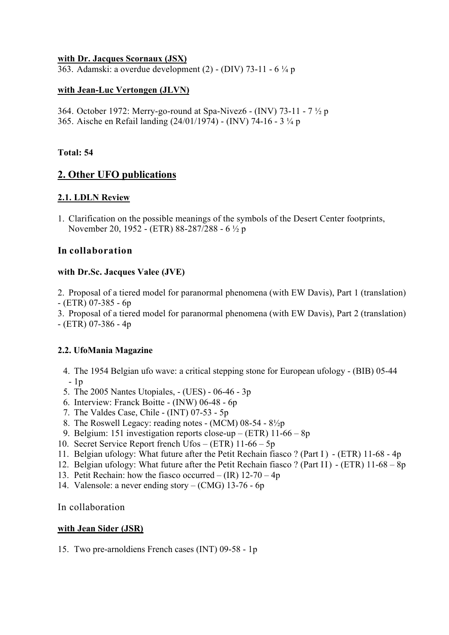#### **with Dr. Jacques Scornaux (JSX)**

363. Adamski: a overdue development (2) - (DIV) 73-11 - 6 ¼ p

## **with Jean-Luc Vertongen (JLVN)**

364. October 1972: Merry-go-round at Spa-Nivez6 - (INV) 73-11 - 7 ½ p 365. Aische en Refail landing (24/01/1974) - (INV) 74-16 - 3 ¼ p

### **Total: 54**

## **2. Other UFO publications**

## **2.1. LDLN Review**

1. Clarification on the possible meanings of the symbols of the Desert Center footprints, November 20, 1952 - (ETR) 88-287/288 - 6 ½ p

#### **In collaboration**

#### **with Dr.Sc. Jacques Valee (JVE)**

2. Proposal of a tiered model for paranormal phenomena (with EW Davis), Part 1 (translation)  $-$  (ETR) 07-385 - 6p

3. Proposal of a tiered model for paranormal phenomena (with EW Davis), Part 2 (translation)  $-$  (ETR) 07-386 - 4p

## **2.2. UfoMania Magazine**

4. The 1954 Belgian ufo wave: a critical stepping stone for European ufology - (BIB) 05-44 - 1p

- 5. The 2005 Nantes Utopiales, (UES) 06-46 3p
- 6. Interview: Franck Boitte (INW) 06-48 6p
- 7. The Valdes Case, Chile (INT) 07-53 5p
- 8. The Roswell Legacy: reading notes (MCM) 08-54 8½p
- 9. Belgium: 151 investigation reports close-up (ETR) 11-66 8p
- 10. Secret Service Report french Ufos (ETR) 11-66 5p
- 11. Belgian ufology: What future after the Petit Rechain fiasco ? (Part I) (ETR) 11-68 4p
- 12. Belgian ufology: What future after the Petit Rechain fiasco ? (Part II) (ETR) 11-68 8p
- 13. Petit Rechain: how the fiasco occurred  $-$  (IR) 12-70  $-$  4p
- 14. Valensole: a never ending story (CMG) 13-76 6p

In collaboration

#### **with Jean Sider (JSR)**

15. Two pre-arnoldiens French cases (INT) 09-58 - 1p